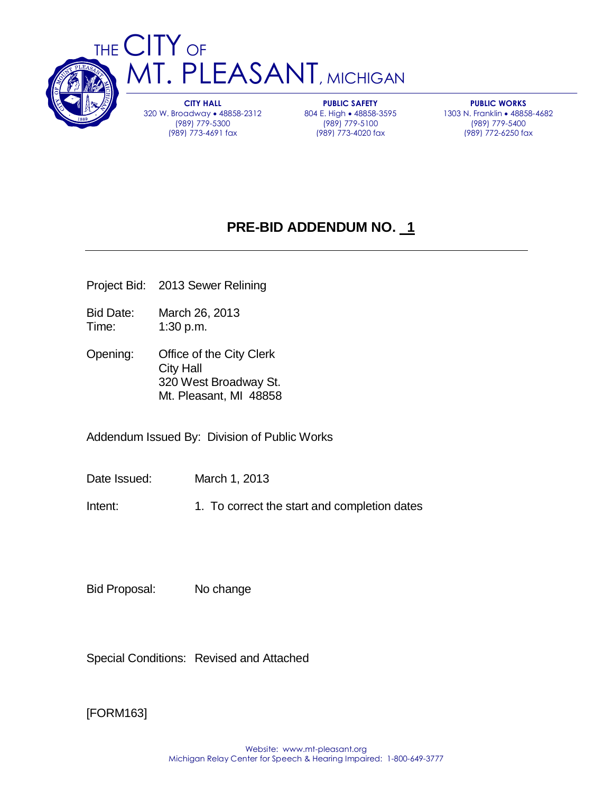

**CITY HALL** 320 W. Broadway 48858-2312 (989) 779-5300 (989) 773-4691 fax

**PUBLIC SAFETY** 804 E. High • 48858-3595 (989) 779-5100 (989) 773-4020 fax

**PUBLIC WORKS** 1303 N. Franklin • 48858-4682 (989) 779-5400 (989) 772-6250 fax

# **PRE-BID ADDENDUM NO. 1**

- Project Bid: 2013 Sewer Relining
- Bid Date: March 26, 2013 Time: 1:30 p.m.
- Opening: Office of the City Clerk City Hall 320 West Broadway St. Mt. Pleasant, MI 48858

Addendum Issued By: Division of Public Works

Date Issued: March 1, 2013

Intent: 1. To correct the start and completion dates

Bid Proposal: No change

Special Conditions: Revised and Attached

[FORM163]